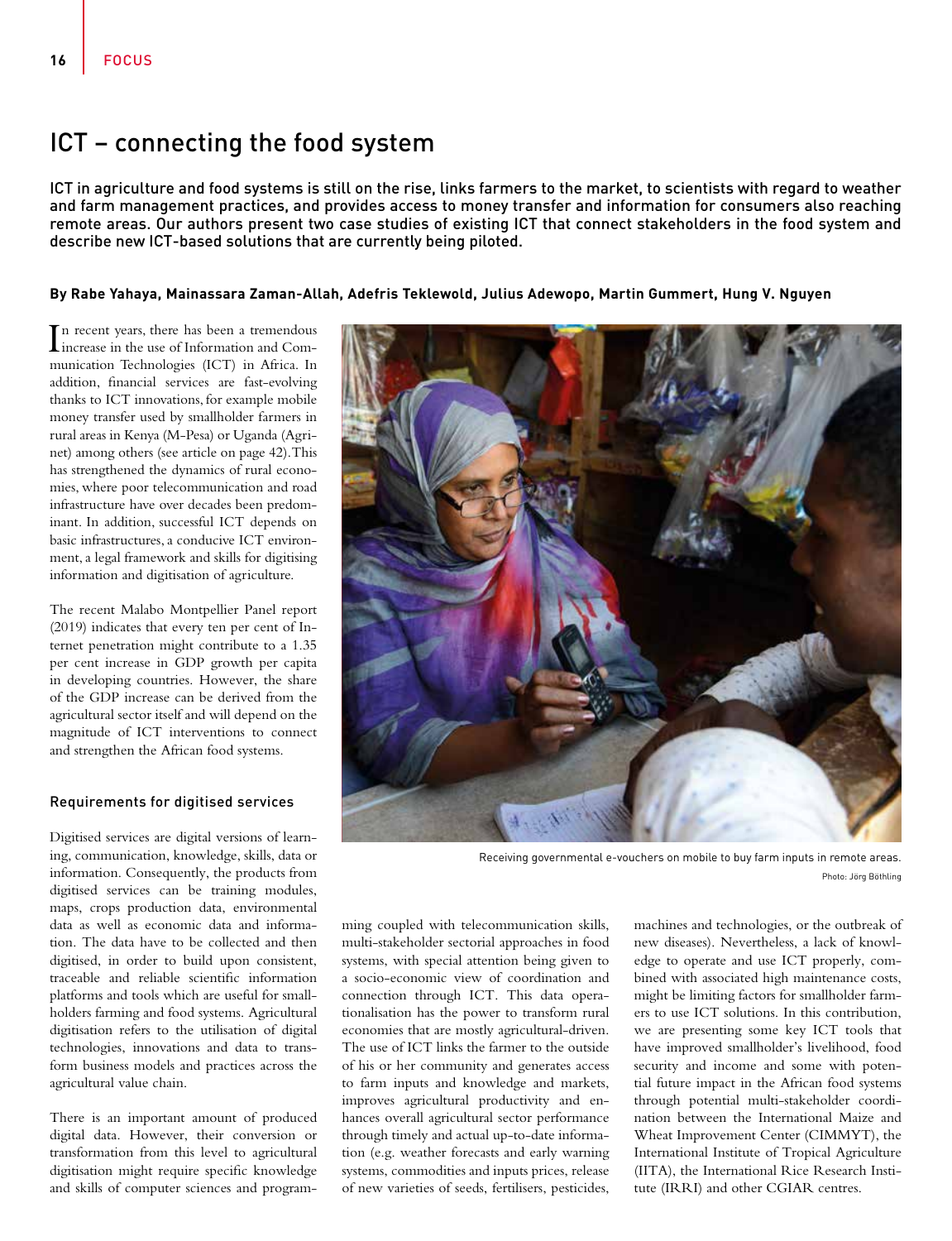# ICT – connecting the food system

ICT in agriculture and food systems is still on the rise, links farmers to the market, to scientists with regard to weather and farm management practices, and provides access to money transfer and information for consumers also reaching remote areas. Our authors present two case studies of existing ICT that connect stakeholders in the food system and describe new ICT-based solutions that are currently being piloted.

### **By Rabe Yahaya, Mainassara Zaman-Allah, Adefris Teklewold, Julius Adewopo, Martin Gummert, Hung V. Nguyen**

In recent years, there has been a tremendous<br>increase in the use of Information and Com-In recent years, there has been a tremendous munication Technologies (ICT) in Africa. In addition, financial services are fast-evolving thanks to ICT innovations, for example mobile money transfer used by smallholder farmers in rural areas in Kenya (M-Pesa) or Uganda (Agrinet) among others (see article on page 42). This has strengthened the dynamics of rural economies, where poor telecommunication and road infrastructure have over decades been predominant. In addition, successful ICT depends on basic infrastructures, a conducive ICT environment, a legal framework and skills for digitising information and digitisation of agriculture.

The recent Malabo Montpellier Panel report (2019) indicates that every ten per cent of Internet penetration might contribute to a 1.35 per cent increase in GDP growth per capita in developing countries. However, the share of the GDP increase can be derived from the agricultural sector itself and will depend on the magnitude of ICT interventions to connect and strengthen the African food systems.

#### Requirements for digitised services

Digitised services are digital versions of learning, communication, knowledge, skills, data or information. Consequently, the products from digitised services can be training modules, maps, crops production data, environmental data as well as economic data and information. The data have to be collected and then digitised, in order to build upon consistent, traceable and reliable scientific information platforms and tools which are useful for smallholders farming and food systems. Agricultural digitisation refers to the utilisation of digital technologies, innovations and data to transform business models and practices across the agricultural value chain.

There is an important amount of produced digital data. However, their conversion or transformation from this level to agricultural digitisation might require specific knowledge and skills of computer sciences and program-



Receiving governmental e-vouchers on mobile to buy farm inputs in remote areas. Photo: Jörg Böthling

ming coupled with telecommunication skills, multi-stakeholder sectorial approaches in food systems, with special attention being given to a socio-economic view of coordination and connection through ICT. This data operationalisation has the power to transform rural economies that are mostly agricultural-driven. The use of ICT links the farmer to the outside of his or her community and generates access to farm inputs and knowledge and markets, improves agricultural productivity and enhances overall agricultural sector performance through timely and actual up-to-date information (e.g. weather forecasts and early warning systems, commodities and inputs prices, release of new varieties of seeds, fertilisers, pesticides,

machines and technologies, or the outbreak of new diseases). Nevertheless, a lack of knowledge to operate and use ICT properly, combined with associated high maintenance costs, might be limiting factors for smallholder farmers to use ICT solutions. In this contribution, we are presenting some key ICT tools that have improved smallholder's livelihood, food security and income and some with potential future impact in the African food systems through potential multi-stakeholder coordination between the International Maize and Wheat Improvement Center (CIMMYT), the International Institute of Tropical Agriculture (IITA), the International Rice Research Institute (IRRI) and other CGIAR centres.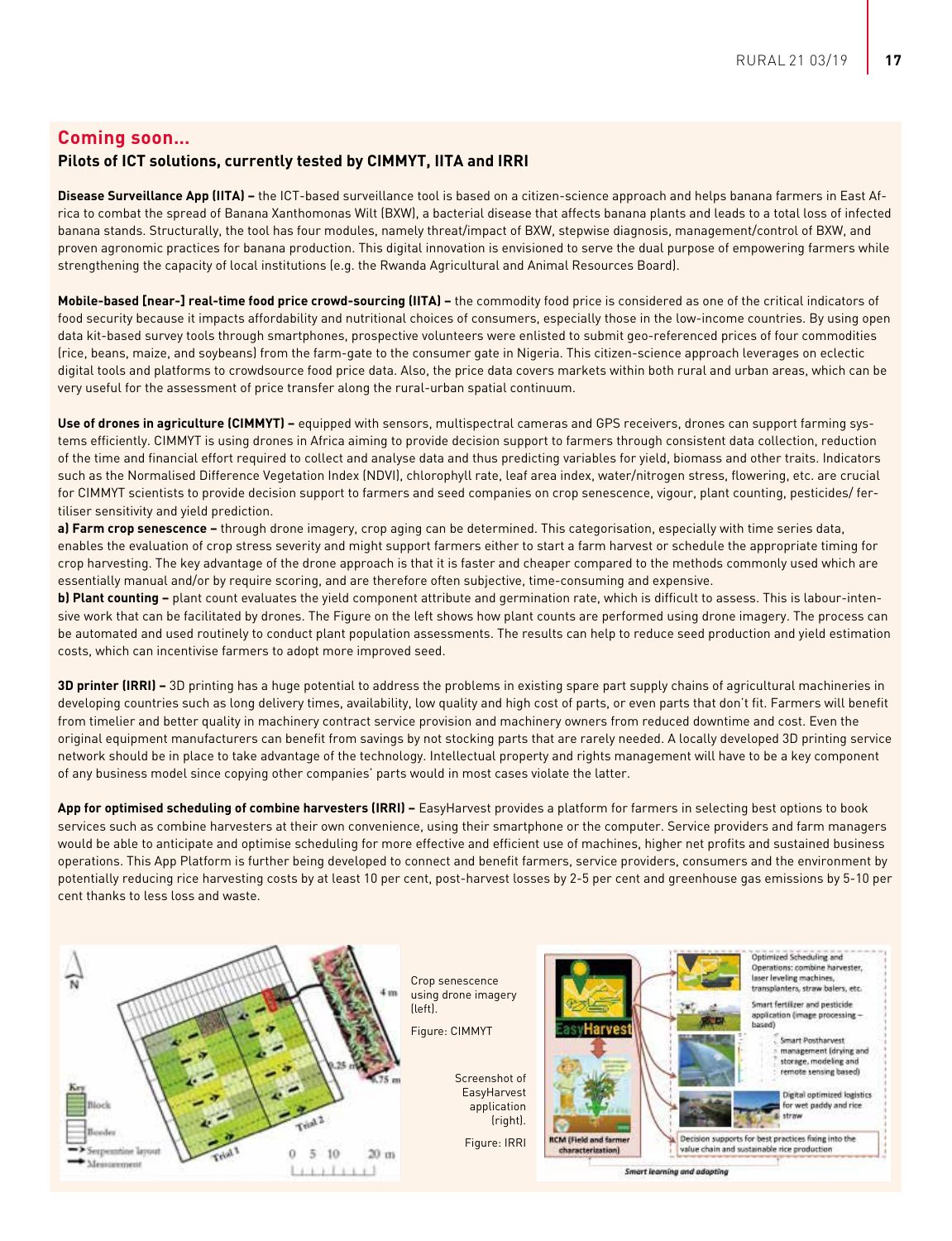# **Coming soon…**

# **Pilots of ICT solutions, currently tested by CIMMYT, IITA and IRRI**

**Disease Surveillance App (IITA) –** the ICT-based surveillance tool is based on a citizen-science approach and helps banana farmers in East Africa to combat the spread of Banana Xanthomonas Wilt (BXW), a bacterial disease that affects banana plants and leads to a total loss of infected banana stands. Structurally, the tool has four modules, namely threat/impact of BXW, stepwise diagnosis, management/control of BXW, and proven agronomic practices for banana production. This digital innovation is envisioned to serve the dual purpose of empowering farmers while strengthening the capacity of local institutions (e.g. the Rwanda Agricultural and Animal Resources Board).

**Mobile-based [near-] real-time food price crowd-sourcing (IITA) –** the commodity food price is considered as one of the critical indicators of food security because it impacts affordability and nutritional choices of consumers, especially those in the low-income countries. By using open data kit-based survey tools through smartphones, prospective volunteers were enlisted to submit geo-referenced prices of four commodities (rice, beans, maize, and soybeans) from the farm-gate to the consumer gate in Nigeria. This citizen-science approach leverages on eclectic digital tools and platforms to crowdsource food price data. Also, the price data covers markets within both rural and urban areas, which can be very useful for the assessment of price transfer along the rural-urban spatial continuum.

Use of drones in agriculture (CIMMYT) – equipped with sensors, multispectral cameras and GPS receivers, drones can support farming systems efficiently. CIMMYT is using drones in Africa aiming to provide decision support to farmers through consistent data collection, reduction of the time and financial effort required to collect and analyse data and thus predicting variables for yield, biomass and other traits. Indicators such as the Normalised Difference Vegetation Index (NDVI), chlorophyll rate, leaf area index, water/nitrogen stress, flowering, etc. are crucial for CIMMYT scientists to provide decision support to farmers and seed companies on crop senescence, vigour, plant counting, pesticides/ fertiliser sensitivity and yield prediction.

**a) Farm crop senescence –** through drone imagery, crop aging can be determined. This categorisation, especially with time series data, enables the evaluation of crop stress severity and might support farmers either to start a farm harvest or schedule the appropriate timing for crop harvesting. The key advantage of the drone approach is that it is faster and cheaper compared to the methods commonly used which are essentially manual and/or by require scoring, and are therefore often subjective, time-consuming and expensive.

**b) Plant counting –** plant count evaluates the yield component attribute and germination rate, which is difficult to assess. This is labour-intensive work that can be facilitated by drones. The Figure on the left shows how plant counts are performed using drone imagery. The process can be automated and used routinely to conduct plant population assessments. The results can help to reduce seed production and yield estimation costs, which can incentivise farmers to adopt more improved seed.

**3D printer (IRRI) –** 3D printing has a huge potential to address the problems in existing spare part supply chains of agricultural machineries in developing countries such as long delivery times, availability, low quality and high cost of parts, or even parts that don't fit. Farmers will benefit from timelier and better quality in machinery contract service provision and machinery owners from reduced downtime and cost. Even the original equipment manufacturers can benefit from savings by not stocking parts that are rarely needed. A locally developed 3D printing service network should be in place to take advantage of the technology. Intellectual property and rights management will have to be a key component of any business model since copying other companies' parts would in most cases violate the latter.

App for optimised scheduling of combine harvesters (IRRI) - EasyHarvest provides a platform for farmers in selecting best options to book services such as combine harvesters at their own convenience, using their smartphone or the computer. Service providers and farm managers would be able to anticipate and optimise scheduling for more effective and efficient use of machines, higher net profits and sustained business operations. This App Platform is further being developed to connect and benefit farmers, service providers, consumers and the environment by potentially reducing rice harvesting costs by at least 10 per cent, post-harvest losses by 2-5 per cent and greenhouse gas emissions by 5-10 per cent thanks to less loss and waste.